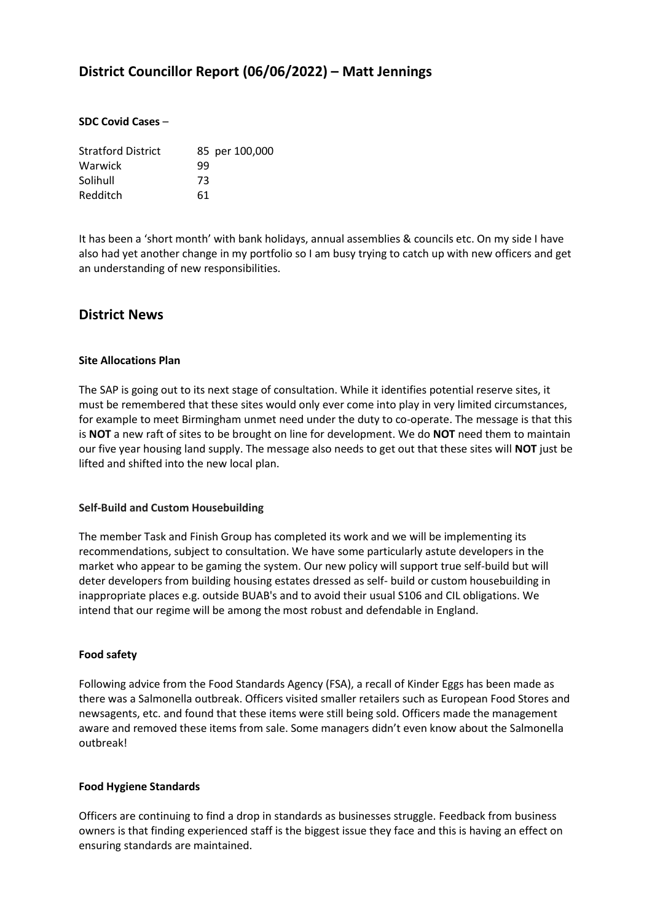# **District Councillor Report (06/06/2022) – Matt Jennings**

#### **SDC Covid Cases** –

| <b>Stratford District</b> | 85 per 100,000 |
|---------------------------|----------------|
| Warwick                   | 99             |
| Solihull                  | 73             |
| Redditch                  | 61             |

It has been a 'short month' with bank holidays, annual assemblies & councils etc. On my side I have also had yet another change in my portfolio so I am busy trying to catch up with new officers and get an understanding of new responsibilities.

# **District News**

#### **Site Allocations Plan**

The SAP is going out to its next stage of consultation. While it identifies potential reserve sites, it must be remembered that these sites would only ever come into play in very limited circumstances, for example to meet Birmingham unmet need under the duty to co-operate. The message is that this is **NOT** a new raft of sites to be brought on line for development. We do **NOT** need them to maintain our five year housing land supply. The message also needs to get out that these sites will **NOT** just be lifted and shifted into the new local plan.

#### **Self-Build and Custom Housebuilding**

The member Task and Finish Group has completed its work and we will be implementing its recommendations, subject to consultation. We have some particularly astute developers in the market who appear to be gaming the system. Our new policy will support true self-build but will deter developers from building housing estates dressed as self- build or custom housebuilding in inappropriate places e.g. outside BUAB's and to avoid their usual S106 and CIL obligations. We intend that our regime will be among the most robust and defendable in England.

#### **Food safety**

Following advice from the Food Standards Agency (FSA), a recall of Kinder Eggs has been made as there was a Salmonella outbreak. Officers visited smaller retailers such as European Food Stores and newsagents, etc. and found that these items were still being sold. Officers made the management aware and removed these items from sale. Some managers didn't even know about the Salmonella outbreak!

#### **Food Hygiene Standards**

Officers are continuing to find a drop in standards as businesses struggle. Feedback from business owners is that finding experienced staff is the biggest issue they face and this is having an effect on ensuring standards are maintained.